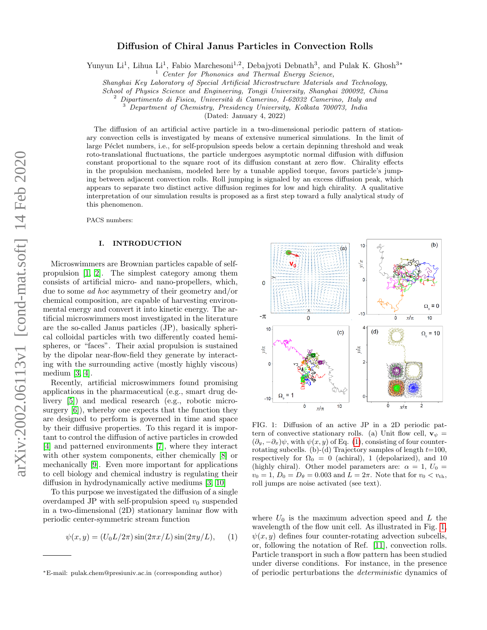# Diffusion of Chiral Janus Particles in Convection Rolls

Yunyun Li<sup>1</sup>, Lihua Li<sup>1</sup>, Fabio Marchesoni<sup>1,2</sup>, Debajyoti Debnath<sup>3</sup>, and Pulak K. Ghosh<sup>3\*</sup>

Center for Phononics and Thermal Energy Science,

Shanghai Key Laboratory of Special Artificial Microstructure Materials and Technology,

School of Physics Science and Engineering, Tongji University, Shanghai 200092, China

Dipartimento di Fisica, Università di Camerino, I-62032 Camerino, Italy and

<sup>3</sup> Department of Chemistry, Presidency University, Kolkata 700073, India

(Dated: January 4, 2022)

The diffusion of an artificial active particle in a two-dimensional periodic pattern of stationary convection cells is investigated by means of extensive numerical simulations. In the limit of large Péclet numbers, i.e., for self-propulsion speeds below a certain depinning threshold and weak roto-translational fluctuations, the particle undergoes asymptotic normal diffusion with diffusion constant proportional to the square root of its diffusion constant at zero flow. Chirality effects in the propulsion mechanism, modeled here by a tunable applied torque, favors particle's jumping between adjacent convection rolls. Roll jumping is signaled by an excess diffusion peak, which appears to separate two distinct active diffusion regimes for low and high chirality. A qualitative interpretation of our simulation results is proposed as a first step toward a fully analytical study of this phenomenon.

PACS numbers:

#### I. INTRODUCTION

Microswimmers are Brownian particles capable of selfpropulsion [\[1,](#page-5-0) [2\]](#page-5-1). The simplest category among them consists of artificial micro- and nano-propellers, which, due to some ad hoc asymmetry of their geometry and/or chemical composition, are capable of harvesting environmental energy and convert it into kinetic energy. The artificial microswimmers most investigated in the literature are the so-called Janus particles (JP), basically spherical colloidal particles with two differently coated hemispheres, or "faces". Their axial propulsion is sustained by the dipolar near-flow-field they generate by interacting with the surrounding active (mostly highly viscous) medium [\[3,](#page-5-2) [4\]](#page-5-3).

Recently, artificial microswimmers found promising applications in the pharmaceutical (e.g., smart drug delivery [\[5\]](#page-5-4)) and medical research (e.g., robotic microsurgery [\[6\]](#page-5-5)), whereby one expects that the function they are designed to perform is governed in time and space by their diffusive properties. To this regard it is important to control the diffusion of active particles in crowded [\[4\]](#page-5-3) and patterned environments [\[7\]](#page-5-6), where they interact with other system components, either chemically [\[8\]](#page-5-7) or mechanically [\[9\]](#page-5-8). Even more important for applications to cell biology and chemical industry is regulating their diffusion in hydrodynamically active mediums [\[3,](#page-5-2) [10\]](#page-5-9)

To this purpose we investigated the diffusion of a single overdamped JP with self-propulsion speed  $v_0$  suspended in a two-dimensional (2D) stationary laminar flow with periodic center-symmetric stream function

<span id="page-0-0"></span>
$$
\psi(x, y) = (U_0 L / 2\pi) \sin(2\pi x / L) \sin(2\pi y / L), \quad (1)
$$



<span id="page-0-1"></span>FIG. 1: Diffusion of an active JP in a 2D periodic pattern of convective stationary rolls. (a) Unit flow cell,  $\mathbf{v}_{\psi} =$  $(\partial_y, -\partial_x)\psi$ , with  $\psi(x, y)$  of Eq. [\(1\)](#page-0-0), consisting of four counterrotating subcells. (b)-(d) Trajectory samples of length  $t=100$ , respectively for  $\Omega_0 = 0$  (achiral), 1 (depolarized), and 10 (highly chiral). Other model parameters are:  $\alpha = 1, U_0 =$  $v_0 = 1, D_0 = D_\theta = 0.003$  and  $L = 2\pi$ . Note that for  $v_0 < v_{\text{th}}$ , roll jumps are noise activated (see text).

where  $U_0$  is the maximum advection speed and L the wavelength of the flow unit cell. As illustrated in Fig. [1,](#page-0-1)  $\psi(x, y)$  defines four counter-rotating advection subcells, or, following the notation of Ref. [\[11\]](#page-5-10), convection rolls. Particle transport in such a flow pattern has been studied under diverse conditions. For instance, in the presence of periodic perturbations the deterministic dynamics of

<sup>∗</sup>E-mail: pulak.chem@presiuniv.ac.in (corresponding author)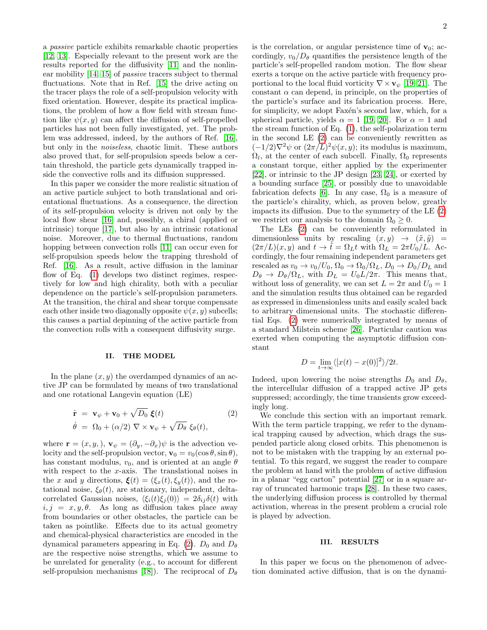a passive particle exhibits remarkable chaotic properties [\[12,](#page-5-11) [13\]](#page-5-12). Especially relevant to the present work are the results reported for the diffusivity [\[11\]](#page-5-10) and the nonlinear mobility [\[14,](#page-5-13) [15\]](#page-5-14) of passive tracers subject to thermal fluctuations. Note that in Ref. [\[15\]](#page-5-14) the drive acting on the tracer plays the role of a self-propulsion velocity with fixed orientation. However, despite its practical implications, the problem of how a flow field with stream function like  $\psi(x, y)$  can affect the diffusion of self-propelled particles has not been fully investigated, yet. The problem was addressed, indeed, by the authors of Ref. [\[16\]](#page-5-15), but only in the noiseless, chaotic limit. These authors also proved that, for self-propulsion speeds below a certain threshold, the particle gets dynamically trapped inside the convective rolls and its diffusion suppressed.

In this paper we consider the more realistic situation of an active particle subject to both translational and orientational fluctuations. As a consequence, the direction of its self-propulsion velocity is driven not only by the local flow shear [\[16\]](#page-5-15) and, possibly, a chiral (applied or intrinsic) torque [\[17\]](#page-5-16), but also by an intrinsic rotational noise. Moreover, due to thermal fluctuations, random hopping between convection rolls [\[11\]](#page-5-10) can occur even for self-propulsion speeds below the trapping threshold of Ref. [\[16\]](#page-5-15). As a result, active diffusion in the laminar flow of Eq. [\(1\)](#page-0-0) develops two distinct regimes, respectively for low and high chirality, both with a peculiar dependence on the particle's self-propulsion parameters. At the transition, the chiral and shear torque compensate each other inside two diagonally opposite  $\psi(x, y)$  subcells; this causes a partial depinning of the active particle from the convection rolls with a consequent diffusivity surge.

### II. THE MODEL

In the plane  $(x, y)$  the overdamped dynamics of an active JP can be formulated by means of two translational and one rotational Langevin equation (LE)

<span id="page-1-0"></span>
$$
\dot{\mathbf{r}} = \mathbf{v}_{\psi} + \mathbf{v}_{0} + \sqrt{D_{0}} \, \boldsymbol{\xi}(t) \tag{2}
$$
\n
$$
\dot{\theta} = \Omega_{0} + (\alpha/2) \, \nabla \times \mathbf{v}_{\psi} + \sqrt{D_{\theta}} \, \xi_{\theta}(t),
$$

where  $\mathbf{r} = (x, y,), \mathbf{v}_{\psi} = (\partial_y, -\partial_x)\psi$  is the advection velocity and the self-propulsion vector,  $\mathbf{v}_0 = v_0(\cos \theta, \sin \theta)$ , has constant modulus,  $v_0$ , and is oriented at an angle  $\theta$ with respect to the x-axis. The translational noises in the x and y directions,  $\xi(t) = (\xi_x(t), \xi_y(t))$ , and the rotational noise,  $\xi_{\theta}(t)$ , are stationary, independent, deltacorrelated Gaussian noises,  $\langle \xi_i(t)\xi_j(0)\rangle = 2\delta_{ij}\delta(t)$  with  $i, j = x, y, \theta$ . As long as diffusion takes place away from boundaries or other obstacles, the particle can be taken as pointlike. Effects due to its actual geometry and chemical-physical characteristics are encoded in the dynamical parameters appearing in Eq. [\(2\)](#page-1-0).  $D_0$  and  $D_\theta$ are the respective noise strengths, which we assume to be unrelated for generality (e.g., to account for different self-propulsion mechanisms [\[18\]](#page-5-17)). The reciprocal of  $D_{\theta}$  is the correlation, or angular persistence time of  $v_0$ ; accordingly,  $v_0/D_\theta$  quantifies the persistence length of the particle's self-propelled random motion. The flow shear exerts a torque on the active particle with frequency proportional to the local fluid vorticity  $\nabla \times \mathbf{v}_{\psi}$  [\[19](#page-5-18)[–21\]](#page-5-19). The constant  $\alpha$  can depend, in principle, on the properties of the particle's surface and its fabrication process. Here, for simplicity, we adopt Faxén's second law, which, for a spherical particle, yields  $\alpha = 1$  [\[19,](#page-5-18) [20\]](#page-5-20). For  $\alpha = 1$  and the stream function of Eq. [\(1\)](#page-0-0), the self-polarization term in the second LE [\(2\)](#page-1-0) can be conveniently rewritten as  $(-1/2)\nabla^2\psi$  or  $(2\pi/L)^2\psi(x,y)$ ; its modulus is maximum,  $\Omega_l$ , at the center of each subcell. Finally,  $\Omega_0$  represents a constant torque, either applied by the experimenter [\[22\]](#page-5-21), or intrinsic to the JP design [\[23,](#page-5-22) [24\]](#page-5-23), or exerted by a bounding surface [\[25\]](#page-5-24), or possibly due to unavoidable fabrication defects [\[6\]](#page-5-5). In any case,  $\Omega_0$  is a measure of the particle's chirality, which, as proven below, greatly impacts its diffusion. Due to the symmetry of the LE [\(2\)](#page-1-0) we restrict our analysis to the domain  $\Omega_0 \geq 0$ .

The LEs [\(2\)](#page-1-0) can be conveniently reformulated in dimensionless units by rescaling  $(x, y) \rightarrow (\tilde{x}, \tilde{y}) =$  $(2\pi/L)(x, y)$  and  $t \to \tilde{t} = \Omega_L t$  with  $\Omega_L = 2\pi U_0/L$ . Accordingly, the four remaining independent parameters get rescaled as  $v_0 \to v_0/U_0$ ,  $\Omega_0 \to \Omega_0/\Omega_L$ ,  $D_0 \to D_0/D_L$  and  $D_{\theta} \rightarrow D_{\theta}/\Omega_L$ , with  $D_L = U_0 L/2\pi$ . This means that, without loss of generality, we can set  $L = 2\pi$  and  $U_0 = 1$ and the simulation results thus obtained can be regarded as expressed in dimensionless units and easily scaled back to arbitrary dimensional units. The stochastic differential Eqs. [\(2\)](#page-1-0) were numerically integrated by means of a standard Milstein scheme [\[26\]](#page-5-25). Particular caution was exerted when computing the asymptotic diffusion constant

$$
D = \lim_{t \to \infty} \langle [x(t) - x(0)]^2 \rangle / 2t.
$$

Indeed, upon lowering the noise strengths  $D_0$  and  $D_\theta$ , the intercellular diffusion of a trapped active JP gets suppressed; accordingly, the time transients grow exceedingly long.

We conclude this section with an important remark. With the term particle trapping, we refer to the dynamical trapping caused by advection, which drags the suspended particle along closed orbits. This phenomenon is not to be mistaken with the trapping by an external potential. To this regard, we suggest the reader to compare the problem at hand with the problem of active diffusion in a planar "egg carton" potential [\[27\]](#page-5-26) or in a square array of truncated harmonic traps [\[28\]](#page-5-27). In these two cases, the underlying diffusion process is controlled by thermal activation, whereas in the present problem a crucial role is played by advection.

### III. RESULTS

In this paper we focus on the phenomenon of advection dominated active diffusion, that is on the dynami-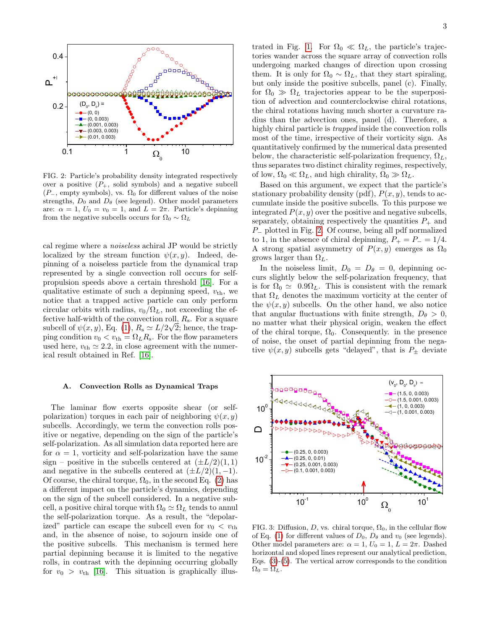

<span id="page-2-0"></span>FIG. 2: Particle's probability density integrated respectively over a positive  $(P_+$ , solid symbols) and a negative subcell  $(P_-,$  empty symbols), vs.  $\Omega_0$  for different values of the noise strengths,  $D_0$  and  $D_\theta$  (see legend). Other model parameters are:  $\alpha = 1, U_0 = v_0 = 1$ , and  $L = 2\pi$ . Particle's depinning from the negative subcells occurs for  $\Omega_0 \sim \Omega_L$ 

cal regime where a noiseless achiral JP would be strictly localized by the stream function  $\psi(x, y)$ . Indeed, depinning of a noiseless particle from the dynamical trap represented by a single convection roll occurs for selfpropulsion speeds above a certain threshold [\[16\]](#page-5-15). For a qualitative estimate of such a depinning speed,  $v_{\text{th}}$ , we notice that a trapped active particle can only perform circular orbits with radius,  $v_0/\Omega_L$ , not exceeding the effective half-width of the convection roll,  $R_s$ . For a square subcell of  $\psi(x, y)$ , Eq. [\(1\)](#page-0-0),  $R_s \simeq L/2\sqrt{2}$ ; hence, the trapping condition  $v_0 < v_{\text{th}} = \Omega_L R_{\text{s}}$ . For the flow parameters used here,  $v_{\text{th}} \simeq 2.2$ , in close agreement with the numerical result obtained in Ref. [\[16\]](#page-5-15).

# A. Convection Rolls as Dynamical Traps

The laminar flow exerts opposite shear (or selfpolarization) torques in each pair of neighboring  $\psi(x, y)$ subcells. Accordingly, we term the convection rolls positive or negative, depending on the sign of the particle's self-polarization. As all simulation data reported here are for  $\alpha = 1$ , vorticity and self-polarization have the same sign – positive in the subcells centered at  $(\pm L/2)(1, 1)$ and negative in the subcells centered at  $(\pm L/2)(1, -1)$ . Of course, the chiral torque,  $\Omega_0$ , in the second Eq. [\(2\)](#page-1-0) has a different impact on the particle's dynamics, depending on the sign of the subcell considered. In a negative subcell, a positive chiral torque with  $\Omega_0 \simeq \Omega_L$  tends to annul the self-polarization torque. As a result, the "depolarized" particle can escape the subcell even for  $v_0 < v_{\text{th}}$ and, in the absence of noise, to sojourn inside one of the positive subcells. This mechanism is termed here partial depinning because it is limited to the negative rolls, in contrast with the depinning occurring globally for  $v_0 > v_{\text{th}}$  [\[16\]](#page-5-15). This situation is graphically illus3

trated in Fig. [1.](#page-0-1) For  $\Omega_0 \ll \Omega_L$ , the particle's trajectories wander across the square array of convection rolls undergoing marked changes of direction upon crossing them. It is only for  $\Omega_0 \sim \Omega_L$ , that they start spiraling, but only inside the positive subcells, panel (c). Finally, for  $\Omega_0 \gg \Omega_L$  trajectories appear to be the superposition of advection and counterclockwise chiral rotations, the chiral rotations having much shorter a curvature radius than the advection ones, panel (d). Therefore, a highly chiral particle is *trapped* inside the convection rolls most of the time, irrespective of their vorticity sign. As quantitatively confirmed by the numerical data presented below, the characteristic self-polarization frequency,  $\Omega_L$ , thus separates two distinct chirality regimes, respectively, of low,  $\Omega_0 \ll \Omega_L$ , and high chirality,  $\Omega_0 \gg \Omega_L$ .

Based on this argument, we expect that the particle's stationary probability density (pdf),  $P(x, y)$ , tends to accumulate inside the positive subcells. To this purpose we integrated  $P(x, y)$  over the positive and negative subcells, separately, obtaining respectively the quantities  $P_+$  and P<sup>−</sup> plotted in Fig. [2.](#page-2-0) Of course, being all pdf normalized to 1, in the absence of chiral depinning,  $P_+ = P_- = 1/4$ . A strong spatial asymmetry of  $P(x, y)$  emerges as  $\Omega_0$ grows larger than  $\Omega_L$ .

In the noiseless limit,  $D_0 = D_\theta = 0$ , depinning occurs slightly below the self-polarization frequency, that is for  $\Omega_0 \simeq 0.9 \Omega_L$ . This is consistent with the remark that  $\Omega_L$  denotes the maximum vorticity at the center of the  $\psi(x, y)$  subcells. On the other hand, we also notice that angular fluctuations with finite strength,  $D_{\theta} > 0$ , no matter what their physical origin, weaken the effect of the chiral torque,  $\Omega_0$ . Consequently. in the presence of noise, the onset of partial depinning from the negative  $\psi(x, y)$  subcells gets "delayed", that is  $P_{\pm}$  deviate



<span id="page-2-1"></span>FIG. 3: Diffusion, D, vs. chiral torque,  $\Omega_0$ , in the cellular flow of Eq. [\(1\)](#page-0-0) for different values of  $D_0$ ,  $D_\theta$  and  $v_0$  (see legends). Other model parameters are:  $\alpha = 1, U_0 = 1, L = 2\pi$ . Dashed horizontal and sloped lines represent our analytical prediction, Eqs. [\(3\)](#page-3-0)-[\(5\)](#page-3-1). The vertical arrow corresponds to the condition  $\Omega_0 = \Omega_L.$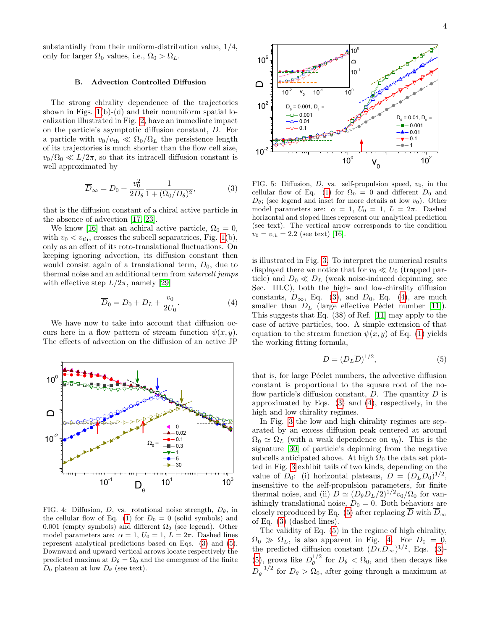## B. Advection Controlled Diffusion

The strong chirality dependence of the trajectories shown in Figs.  $1(b)-(d)$  and their nonuniform spatial localization illustrated in Fig. [2,](#page-2-0) have an immediate impact on the particle's asymptotic diffusion constant, D. For a particle with  $v_0/v_{\text{th}} \ll \Omega_0/\Omega_L$  the persistence length of its trajectories is much shorter than the flow cell size,  $v_0/\Omega_0 \ll L/2\pi$ , so that its intracell diffusion constant is well approximated by

<span id="page-3-0"></span>
$$
\overline{D}_{\infty} = D_0 + \frac{v_0^2}{2D_{\theta}} \frac{1}{1 + (\Omega_0/D_{\theta})^2},
$$
\n(3)

that is the diffusion constant of a chiral active particle in the absence of advection [\[17,](#page-5-16) [23\]](#page-5-22).

We know [\[16\]](#page-5-15) that an achiral active particle,  $\Omega_0 = 0$ , with  $v_0 < v_{\text{th}}$ , crosses the subcell separatrices, Fig. [1\(](#page-0-1)b), only as an effect of its roto-translational fluctuations. On keeping ignoring advection, its diffusion constant then would consist again of a translational term,  $D_0$ , due to thermal noise and an additional term from intercell jumps with effective step  $L/2\pi$ , namely [\[29\]](#page-5-28)

<span id="page-3-2"></span>
$$
\overline{D}_0 = D_0 + D_L + \frac{v_0}{2U_0}.
$$
\n(4)

We have now to take into account that diffusion occurs here in a flow pattern of stream function  $\psi(x, y)$ . The effects of advection on the diffusion of an active JP  $\,$ 



<span id="page-3-3"></span>FIG. 4: Diffusion, D, vs. rotational noise strength,  $D_{\theta}$ , in the cellular flow of Eq. [\(1\)](#page-0-0) for  $D_0 = 0$  (solid symbols) and 0.001 (empty symbols) and different  $\Omega_0$  (see legend). Other model parameters are:  $\alpha = 1, U_0 = 1, L = 2\pi$ . Dashed lines represent analytical predictions based on Eqs. [\(3\)](#page-3-0) and [\(5\)](#page-3-1). Downward and upward vertical arrows locate respectively the predicted maxima at  $D_{\theta} = \Omega_0$  and the emergence of the finite



<span id="page-3-4"></span>FIG. 5: Diffusion,  $D$ , vs. self-propulsion speed,  $v_0$ , in the cellular flow of Eq. [\(1\)](#page-0-0) for  $\Omega_0 = 0$  and different  $D_0$  and  $D_{\theta}$ ; (see legend and inset for more details at low  $v_0$ ). Other model parameters are:  $\alpha = 1, U_0 = 1, L = 2\pi$ . Dashed horizontal and sloped lines represent our analytical prediction (see text). The vertical arrow corresponds to the condition  $v_0 = v_{\text{th}} = 2.2$  (see text) [\[16\]](#page-5-15).

is illustrated in Fig. [3.](#page-2-1) To interpret the numerical results displayed there we notice that for  $v_0 \ll U_0$  (trapped particle) and  $D_0 \ll D_L$  (weak noise-induced depinning, see Sec. III.C), both the high- and low-chirality diffusion constants,  $\overline{D}_{\infty}$ , Eq. [\(3\)](#page-3-0), and  $\overline{D}_0$ , Eq. [\(4\)](#page-3-2), are much smaller than  $D_L$  (large effective Péclet number [\[11\]](#page-5-10)). This suggests that Eq. (38) of Ref. [\[11\]](#page-5-10) may apply to the case of active particles, too. A simple extension of that equation to the stream function  $\psi(x, y)$  of Eq. [\(1\)](#page-0-0) yields the working fitting formula,

<span id="page-3-1"></span>
$$
D = (D_L \overline{D})^{1/2},\tag{5}
$$

that is, for large Péclet numbers, the advective diffusion constant is proportional to the square root of the noflow particle's diffusion constant,  $\overline{D}$ . The quantity  $\overline{D}$  is approximated by Eqs. [\(3\)](#page-3-0) and [\(4\)](#page-3-2), respectively, in the high and low chirality regimes.

In Fig. [3](#page-2-1) the low and high chirality regimes are separated by an excess diffusion peak centered at around  $\Omega_0 \simeq \Omega_L$  (with a weak dependence on  $v_0$ ). This is the signature [\[30\]](#page-5-29) of particle's depinning from the negative subcells anticipated above. At high  $\Omega_0$  the data set plotted in Fig. [3](#page-2-1) exhibit tails of two kinds, depending on the value of  $D_0$ : (i) horizontal plateaus,  $D = (D_L D_0)^{1/2}$ , insensitive to the self-propulsion parameters, for finite thermal noise, and (ii)  $D \simeq (D_{\theta}D_{L}/2)^{1/2}v_0/\Omega_0$  for vanishingly translational noise,  $D_0 = 0$ . Both behaviors are closely reproduced by Eq. [\(5\)](#page-3-1) after replacing  $\overline{D}$  with  $\overline{D}_{\infty}$ of Eq. [\(3\)](#page-3-0) (dashed lines).

The validity of Eq. [\(5\)](#page-3-1) in the regime of high chirality,  $\Omega_0 \gg \Omega_L$ , is also apparent in Fig. [4.](#page-3-3) For  $D_0 = 0$ , the predicted diffusion constant  $(D_L\overline{D}_{\infty})^{1/2}$ , Eqs. [\(3\)](#page-3-0)-[\(5\)](#page-3-1), grows like  $D_{\theta}^{1/2}$  $\frac{1}{\theta}$  for  $D_{\theta} < \Omega_0$ , and then decays like  $D_\theta^{-1/2}$  $\theta_{\theta}^{-1/2}$  for  $D_{\theta} > \Omega_0$ , after going through a maximum at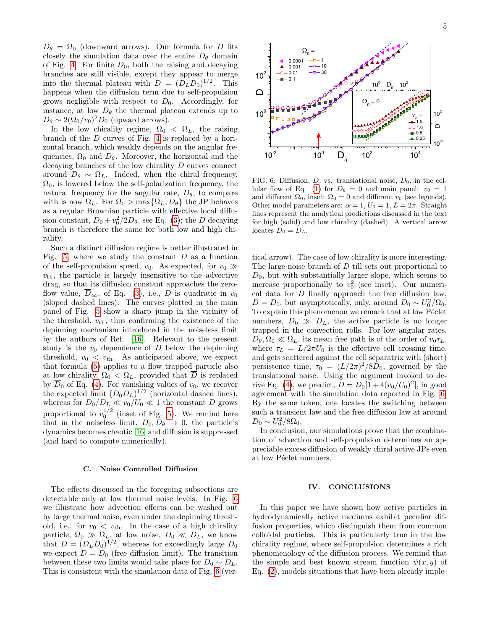$D_{\theta} = \Omega_0$  (downward arrows). Our formula for D fits closely the simulation data over the entire  $D_{\theta}$  domain of Fig. [4.](#page-3-3) For finite  $D_0$ , both the raising and decaying branches are still visible, except they appear to merge into the thermal plateau with  $D = (D_L D_0)^{1/2}$ . This happens when the diffusion term due to self-propulsion grows negligible with respect to  $D_0$ . Accordingly, for instance, at low  $D_{\theta}$  the thermal plateau extends up to  $D_{\theta} \sim 2(\Omega_0/v_0)^2 D_0$  (upward arrows).

In the low chirality regime,  $\Omega_0 < \Omega_L$ , the raising branch of the D curves of Fig. [4](#page-3-3) is replaced by a horizontal branch, which weakly depends on the angular frequencies,  $\Omega_0$  and  $D_\theta$ . Moreover, the horizontal and the decaying branches of the low chirality D curves connect around  $D_{\theta} \sim \Omega_L$ . Indeed, when the chiral frequency,  $\Omega_0$ , is lowered below the self-polarization frequency, the natural frequency for the angular rate,  $D_{\theta}$ , to compare with is now  $\Omega_L$ . For  $\Omega_0 > \max{\Omega_L, D_\theta}$  the JP behaves as a regular Brownian particle with effective local diffusion constant,  $D_0 + v_0^2/2D_\theta$ , see Eq. [\(3\)](#page-3-0); the D decaying branch is therefore the same for both low and high chirality.

Such a distinct diffusion regime is better illustrated in Fig. [5,](#page-3-4) where we study the constant  $D$  as a function of the self-propulsion speed,  $v_0$ . As expected, for  $v_0 \gg$  $v_{\text{th}}$ , the particle is largely insensitive to the advective drag, so that its diffusion constant approaches the zeroflow value,  $\overline{D}_{\infty}$ , of Eq. [\(3\)](#page-3-0), i.e., D is quadratic in  $v_0$ (sloped dashed lines). The curves plotted in the main panel of Fig. [5](#page-3-4) show a sharp jump in the vicinity of the threshold,  $v_{\text{th}}$ , thus confirming the existence of the depinning mechanism introduced in the noiseless limit by the authors of Ref. [\[16\]](#page-5-15). Relevant to the present study is the  $v_0$  dependence of D below the depinning threshold,  $v_0 < v_{\text{th}}$ . As anticipated above, we expect that formula [\(5\)](#page-3-1) applies to a flow trapped particle also at low chirality,  $\Omega_0 < \Omega_L$ , provided that  $\overline{D}$  is replaced by  $\overline{D}_0$  of Eq. [\(4\)](#page-3-2). For vanishing values of  $v_0$ , we recover the expected limit  $(D_0D_L)^{1/2}$  (horizontal dashed lines), whereas for  $D_0/D_L \ll v_0/U_0 \ll 1$  the constant D grows proportional to  $v_0^{1/2}$  (inset of Fig. [5\)](#page-3-4). We remind here that in the noiseless limit,  $D_0, D_\theta \rightarrow 0$ , the particle's dynamics becomes chaotic [\[16\]](#page-5-15) and diffusion is suppressed (and hard to compute numerically).

#### C. Noise Controlled Diffusion

The effects discussed in the foregoing subsections are detectable only at low thermal noise levels. In Fig. [6](#page-4-0) we illustrate how advection effects can be washed out by large thermal noise, even under the depinning threshold, i.e., for  $v_0 < v_{\text{th}}$ . In the case of a high chirality particle,  $\Omega_0 \gg \Omega_L$ , at low noise,  $D_0 \ll D_L$ , we know that  $D = (D<sub>L</sub> D<sub>0</sub>)<sup>1/2</sup>$ , whereas for exceedingly large  $D<sub>0</sub>$ we expect  $D = D_0$  (free diffusion limit). The transition between these two limits would take place for  $D_0 \sim D_L$ . This is consistent with the simulation data of Fig. [6](#page-4-0) (ver-



<span id="page-4-0"></span>FIG. 6: Diffusion,  $D$ , vs. translational noise,  $D_0$ , in the cel-lular flow of Eq. [\(1\)](#page-0-0) for  $D_{\theta} = 0$  and main panel:  $v_0 = 1$ and different  $\Omega_0$ , inset:  $\Omega_0 = 0$  and different  $v_0$  (see legends). Other model parameters are:  $\alpha = 1, U_0 = 1, L = 2\pi$ . Straight lines represent the analytical predictions discussed in the text for high (solid) and low chirality (dashed). A vertical arrow locates  $D_0 = D_L$ .

tical arrow). The case of low chirality is more interesting. The large noise branch of D till sets out proportional to  $D_0$ , but with substantially larger slope, which seems to increase proportionally to  $v_0^2$  (see inset). Our numerical data for  $D$  finally approach the free diffusion law,  $D = D_0$ , but asymptotically, only, around  $D_0 \sim U_0^2 / \Omega_0$ . To explain this phenomenon we remark that at low Péclet numbers,  $D_0 \gg D_L$ , the active particle is no longer trapped in the convection rolls. For low angular rates,  $D_{\theta}, \Omega_0 \ll \Omega_L$ , its mean free path is of the order of  $v_0 \tau_L$ , where  $\tau_L = L/2\pi U_0$  is the effective cell crossing time, and gets scattered against the cell separatrix with (short) persistence time,  $\tau_0 = (L/2\pi)^2/8D_0$ , governed by the translational noise. Using the argument invoked to de-rive Eq. [\(4\)](#page-3-2), we predict,  $D = D_0[1 + 4(v_0/U_0)^2]$ , in good agreement with the simulation data reported in Fig. [6.](#page-4-0) By the same token, one locates the switching between such a transient law and the free diffusion law at around  $D_0 \sim U_0^2/8\Omega_0.$ 

In conclusion, our simulations prove that the combination of advection and self-propulsion determines an appreciable excess diffusion of weakly chiral active JPs even at low Péclet numbers.

# IV. CONCLUSIONS

In this paper we have shown how active particles in hydrodynamically active mediums exhibit peculiar diffusion properties, which distinguish them from common colloidal particles. This is particularly true in the low chirality regime, where self-propulsion determines a rich phenomenology of the diffusion process. We remind that the simple and best known stream function  $\psi(x, y)$  of Eq. [\(2\)](#page-1-0), models situations that have been already imple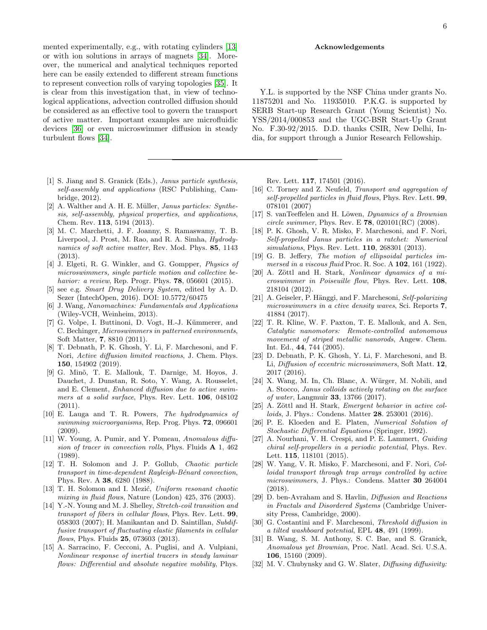mented experimentally, e.g., with rotating cylinders [\[13\]](#page-5-12) or with ion solutions in arrays of magnets [\[34\]](#page-6-0). Moreover, the numerical and analytical techniques reported here can be easily extended to different stream functions to represent convection rolls of varying topologies [\[35\]](#page-6-1). It is clear from this investigation that, in view of technological applications, advection controlled diffusion should be considered as an effective tool to govern the transport of active matter. Important examples are microfluidic devices [\[36\]](#page-6-2) or even microswimmer diffusion in steady turbulent flows [\[34\]](#page-6-0).

- <span id="page-5-0"></span>[1] S. Jiang and S. Granick (Eds.), *Janus particle synthesis*, self-assembly and applications (RSC Publishing, Cambridge, 2012).
- <span id="page-5-1"></span>[2] A. Walther and A. H. E. Müller, *Janus particles: Synthe*sis, self-assembly, physical properties, and applications, Chem. Rev. 113, 5194 (2013).
- <span id="page-5-2"></span>[3] M. C. Marchetti, J. F. Joanny, S. Ramaswamy, T. B. Liverpool, J. Prost, M. Rao, and R. A. Simha, Hydrodynamics of soft active matter, Rev. Mod. Phys. 85, 1143 (2013).
- <span id="page-5-3"></span>[4] J. Elgeti, R. G. Winkler, and G. Gompper, Physics of microswimmers, single particle motion and collective behavior: a review, Rep. Progr. Phys. **78**, 056601 (2015).
- <span id="page-5-4"></span>[5] see e.g. Smart Drug Delivery System, edited by A. D. Sezer (IntechOpen, 2016). DOI: 10.5772/60475
- <span id="page-5-5"></span>[6] J. Wang, Nanomachines: Fundamentals and Applications (Wiley-VCH, Weinheim, 2013).
- <span id="page-5-6"></span>[7] G. Volpe, I. Buttinoni, D. Vogt, H.-J. Kümmerer, and C. Bechinger, Microswimmers in patterned environments, Soft Matter, 7, 8810 (2011).
- <span id="page-5-7"></span>[8] T. Debnath, P. K. Ghosh, Y. Li, F. Marchesoni, and F. Nori, Active diffusion limited reactions, J. Chem. Phys. 150, 154902 (2019).
- <span id="page-5-8"></span>[9] G. Mino, T. E. Mallouk, T. Darnige, M. Hoyos, J. Dauchet, J. Dunstan, R. Soto, Y. Wang, A. Rousselet, and E. Clement, Enhanced diffusion due to active swimmers at a solid surface, Phys. Rev. Lett. 106, 048102 (2011).
- <span id="page-5-9"></span>[10] E. Lauga and T. R. Powers, The hydrodynamics of swimming microorganisms, Rep. Prog. Phys. **72**, 096601 (2009).
- <span id="page-5-10"></span>[11] W. Young, A. Pumir, and Y. Pomeau, Anomalous diffusion of tracer in convection rolls, Phys. Fluids A 1, 462 (1989).
- <span id="page-5-11"></span>[12] T. H. Solomon and J. P. Gollub, Chaotic particle transport in time-dependent Rayleigh-Bénard convection, Phys. Rev. A 38, 6280 (1988).
- <span id="page-5-12"></span>[13] T. H. Solomon and I. Mezić, Uniform resonant chaotic mixing in fluid flows, Nature (London) 425, 376 (2003).
- <span id="page-5-13"></span>[14] Y.-N. Young and M. J. Shelley, *Stretch-coil transition and* transport of fibers in cellular flows, Phys. Rev. Lett. 99, 058303 (2007); H. Manikantan and D. Saintillan, Subdiffusive transport of fluctuating elastic filaments in cellular flows, Phys. Fluids **25**, 073603 (2013).
- <span id="page-5-14"></span>[15] A. Sarracino, F. Cecconi, A. Puglisi, and A. Vulpiani, Nonlinear response of inertial tracers in steady laminar flows: Differential and absolute negative mobility, Phys.

### Acknowledgements

Y.L. is supported by the NSF China under grants No. 11875201 and No. 11935010. P.K.G. is supported by SERB Start-up Research Grant (Young Scientist) No. YSS/2014/000853 and the UGC-BSR Start-Up Grant No. F.30-92/2015. D.D. thanks CSIR, New Delhi, India, for support through a Junior Research Fellowship.

Rev. Lett. 117, 174501 (2016).

- <span id="page-5-15"></span>[16] C. Torney and Z. Neufeld, *Transport and aggregation of* self-propelled particles in fluid flows, Phys. Rev. Lett. **99**, 078101 (2007)
- <span id="page-5-16"></span>[17] S. vanTeeffelen and H. Löwen, Dynamics of a Brownian circle swimmer, Phys. Rev. E  $78$ , 020101(RC) (2008).
- <span id="page-5-17"></span>[18] P. K. Ghosh, V. R. Misko, F. Marchesoni, and F. Nori, Self-propelled Janus particles in a ratchet: Numerical simulations, Phys. Rev. Lett. 110, 268301 (2013).
- <span id="page-5-18"></span>[19] G. B. Jeffery, The motion of ellipsoidal particles immersed in a viscous fluid Proc. R. Soc. A 102, 161 (1922).
- <span id="page-5-20"></span> $[20]$  A. Zöttl and H. Stark, Nonlinear dynamics of a microswimmer in Poiseuille flow, Phys. Rev. Lett. 108, 218104 (2012).
- <span id="page-5-19"></span>[21] A. Geiseler, P. Hänggi, and F. Marchesoni, Self-polarizing microswimmers in a ctive density waves, Sci. Reports 7, 41884 (2017).
- <span id="page-5-21"></span>[22] T. R. Kline, W. F. Paxton, T. E. Mallouk, and A. Sen, Catalytic nanomotors: Remote-controlled autonomous movement of striped metallic nanorods, Angew. Chem. Int. Ed., 44, 744 (2005).
- <span id="page-5-22"></span>[23] D. Debnath, P. K. Ghosh, Y. Li, F. Marchesoni, and B. Li, Diffusion of eccentric microswimmers, Soft Matt. 12, 2017 (2016).
- <span id="page-5-23"></span>[24] X. Wang, M. In, Ch. Blanc, A. Würger, M. Nobili, and A. Stocco, Janus colloids actively rotating on the surface of water, Langmuir 33, 13766 (2017).
- <span id="page-5-24"></span>[25] A. Zöttl and H. Stark, *Emergent behavior in active col*loids, J. Phys.: Condens. Matter 28. 253001 (2016).
- <span id="page-5-25"></span>[26] P. E. Kloeden and E. Platen, Numerical Solution of Stochastic Differential Equations (Springer, 1992).
- <span id="page-5-26"></span>[27] A. Nourhani, V. H. Crespi, and P. E. Lammert, *Guiding* chiral self-propellers in a periodic potential, Phys. Rev. Lett. 115, 118101 (2015).
- <span id="page-5-27"></span>[28] W. Yang, V. R. Misko, F. Marchesoni, and F. Nori, Colloidal transport through trap arrays controlled by active microswimmers, J. Phys.: Condens. Matter 30 264004 (2018).
- <span id="page-5-28"></span>[29] D. ben-Avraham and S. Havlin, Diffusion and Reactions in Fractals and Disordered Systems (Cambridge University Press, Cambridge, 2000).
- <span id="page-5-29"></span>[30] G. Costantini and F. Marchesoni, Threshold diffusion in a tilted washboard potential, EPL 48, 491 (1999).
- [31] B. Wang, S. M. Anthony, S. C. Bae, and S. Granick, Anomalous yet Brownian, Proc. Natl. Acad. Sci. U.S.A. 106, 15160 (2009).
- [32] M. V. Chubynsky and G. W. Slater, *Diffusing diffusivity:*